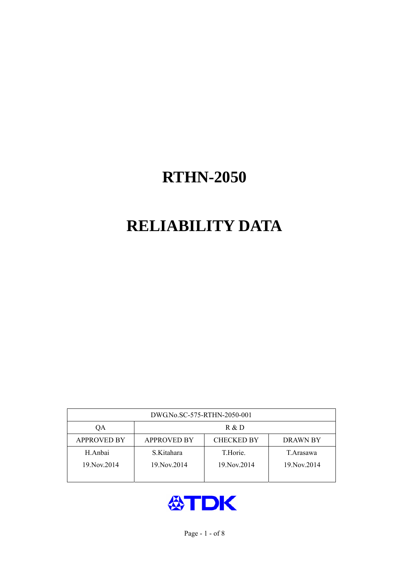# **RELIABILITY DATA**

| DWG.No.SC-575-RTHN-2050-001 |                                                     |               |             |  |  |  |  |
|-----------------------------|-----------------------------------------------------|---------------|-------------|--|--|--|--|
| OА                          | R & D                                               |               |             |  |  |  |  |
| <b>APPROVED BY</b>          | <b>CHECKED BY</b><br><b>APPROVED BY</b><br>DRAWN BY |               |             |  |  |  |  |
| H.Anbai                     | S.Kitahara                                          | T.Horie.      | T. Arasawa  |  |  |  |  |
| 19. Nov. 2014               | 19. Nov. 2014                                       | 19. Nov. 2014 | 19 Nov 2014 |  |  |  |  |
|                             |                                                     |               |             |  |  |  |  |

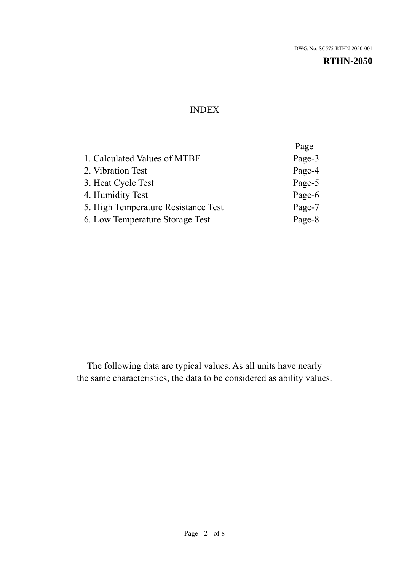#### INDEX

|                                     | Page   |
|-------------------------------------|--------|
| 1. Calculated Values of MTBF        | Page-3 |
| 2. Vibration Test                   | Page-4 |
| 3. Heat Cycle Test                  | Page-5 |
| 4. Humidity Test                    | Page-6 |
| 5. High Temperature Resistance Test | Page-7 |
| 6. Low Temperature Storage Test     | Page-8 |
|                                     |        |

The following data are typical values. As all units have nearly the same characteristics, the data to be considered as ability values.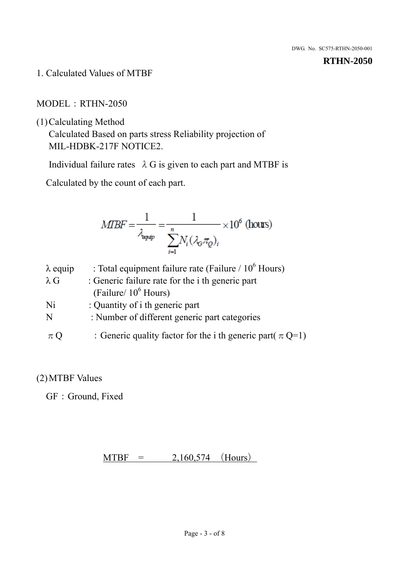1. Calculated Values of MTBF

MODEL:RTHN-2050

(1)Calculating Method

Calculated Based on parts stress Reliability projection of MIL-HDBK-217F NOTICE2.

Individual failure rates  $\lambda$  G is given to each part and MTBF is

Calculated by the count of each part.

$$
MIBF = \frac{1}{\lambda_{\text{expap}}} = \frac{1}{\sum_{i=1}^{n} N_i (\lambda_{\text{G}} \pi_Q)_i} \times 10^6 \text{ (hours)}
$$

| $\lambda$ equip | : Total equipment failure rate (Failure / $10^6$ Hours)        |
|-----------------|----------------------------------------------------------------|
| $\lambda$ G     | : Generic failure rate for the <i>i</i> th generic part        |
|                 | (Failure/ $10^6$ Hours)                                        |
| Ni              | : Quantity of i th generic part                                |
| N               | : Number of different generic part categories                  |
| $\pi$ Q         | : Generic quality factor for the i th generic part( $\pi$ Q=1) |

## (2)MTBF Values

GF: Ground, Fixed

 $MTBF = 2,160,574$  (Hours)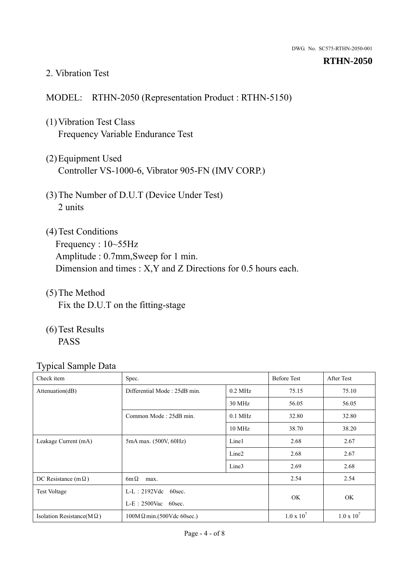#### 2. Vibration Test

#### MODEL: RTHN-2050 (Representation Product : RTHN-5150)

- (1)Vibration Test Class Frequency Variable Endurance Test
- (2)Equipment Used Controller VS-1000-6, Vibrator 905-FN (IMV CORP.)
- (3)The Number of D.U.T (Device Under Test) 2 units
- (4)Test Conditions Frequency : 10~55Hz Amplitude : 0.7mm,Sweep for 1 min. Dimension and times : X,Y and Z Directions for 0.5 hours each.
- (5)The Method Fix the D.U.T on the fitting-stage
- (6)Test Results PASS

| Check item                        | Spec.                            |                   | <b>Before Test</b> | After Test        |
|-----------------------------------|----------------------------------|-------------------|--------------------|-------------------|
| Attenuation(dB)                   | Differential Mode: 25dB min.     | $0.2$ MHz         | 75.15              | 75.10             |
|                                   |                                  | 30 MHz            | 56.05              | 56.05             |
|                                   | Common Mode: 25dB min.           | $0.1$ MHz         | 32.80              | 32.80             |
|                                   |                                  | 10 MHz            | 38.70              | 38.20             |
| Leakage Current (mA)              | 5mA max. (500V, 60Hz)            | Line1             | 2.68               | 2.67              |
|                                   |                                  | Line <sub>2</sub> | 2.68               | 2.67              |
|                                   |                                  | Line3             | 2.69               | 2.68              |
| DC Resistance (m $\Omega$ )       | $6m\Omega$<br>max.               |                   |                    | 2.54              |
| <b>Test Voltage</b>               | $L-L: 2192Vdc$ 60sec.            |                   |                    |                   |
|                                   | $L-E$ : 2500Vac 60sec.           |                   | OK.                | OK                |
| Isolation Resistance( $M\Omega$ ) | $100M\Omega$ min.(500Vdc 60sec.) |                   | $1.0 \times 10^7$  | $1.0 \times 10^7$ |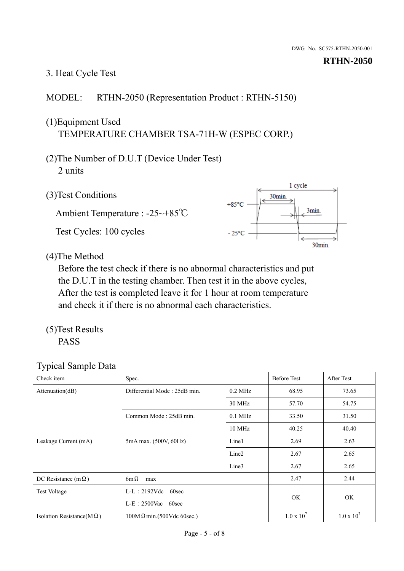# 3. Heat Cycle Test

### MODEL: RTHN-2050 (Representation Product : RTHN-5150)

## (1)Equipment Used TEMPERATURE CHAMBER TSA-71H-W (ESPEC CORP.)

- (2)The Number of D.U.T (Device Under Test) 2 units
- (3)Test Conditions

Ambient Temperature : -25~+85℃ Test Cycles: 100 cycles



(4)The Method

Before the test check if there is no abnormal characteristics and put the D.U.T in the testing chamber. Then test it in the above cycles, After the test is completed leave it for 1 hour at room temperature and check it if there is no abnormal each characteristics.

(5)Test Results PASS

| Check item                        | Spec.                                            |                   | <b>Before Test</b>  | After Test        |
|-----------------------------------|--------------------------------------------------|-------------------|---------------------|-------------------|
| Attenuation(dB)                   | Differential Mode: 25dB min.                     | $0.2$ MHz         | 68.95               | 73.65             |
|                                   |                                                  | 30 MHz            | 57.70               | 54.75             |
|                                   | Common Mode: 25dB min.                           | $0.1$ MHz         | 33.50               | 31.50             |
|                                   |                                                  | 10 MHz            | 40.25               | 40.40             |
| Leakage Current (mA)              | 5mA max. (500V, 60Hz)                            | Line1             | 2.69                | 2.63              |
|                                   |                                                  | Line <sub>2</sub> | 2.67                | 2.65              |
|                                   |                                                  | Line3             | 2.67                | 2.65              |
| DC Resistance (m $\Omega$ )       | $6m\Omega$<br>max                                |                   | 2.47                | 2.44              |
| <b>Test Voltage</b>               | $L-L: 2192Vdc$<br>60sec<br>$L-E$ : 2500Vac 60sec |                   |                     |                   |
|                                   |                                                  |                   | OK.                 | OK                |
| Isolation Resistance( $M\Omega$ ) | $100M\Omega$ min.(500Vdc 60sec.)                 |                   | $1.0 \times 10^{7}$ | $1.0 \times 10^7$ |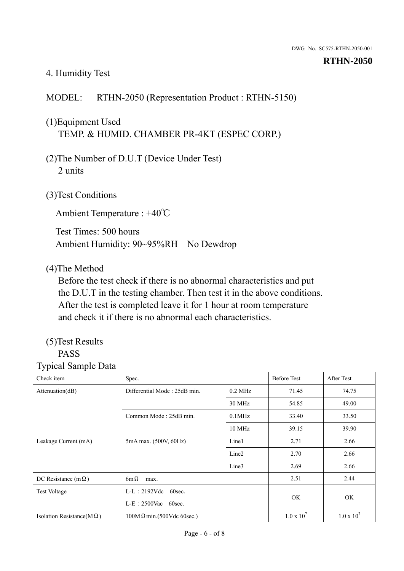#### 4. Humidity Test

## MODEL: RTHN-2050 (Representation Product : RTHN-5150)

# (1)Equipment Used TEMP. & HUMID. CHAMBER PR-4KT (ESPEC CORP.)

- (2)The Number of D.U.T (Device Under Test) 2 units
- (3)Test Conditions

Ambient Temperature : +40℃

Test Times: 500 hours Ambient Humidity: 90~95%RH No Dewdrop

#### (4)The Method

Before the test check if there is no abnormal characteristics and put the D.U.T in the testing chamber. Then test it in the above conditions. After the test is completed leave it for 1 hour at room temperature and check it if there is no abnormal each characteristics.

#### (5)Test Results PASS

| Check item                        | Spec.                            |                        | <b>Before Test</b> | <b>After Test</b> |
|-----------------------------------|----------------------------------|------------------------|--------------------|-------------------|
| Attenuation(dB)                   | Differential Mode: 25dB min.     | $0.2$ MHz              | 71.45              | 74.75             |
|                                   |                                  | 30 MHz                 | 54.85              | 49.00             |
|                                   | Common Mode: 25dB min.           | $0.1$ MHz              | 33.40              | 33.50             |
|                                   |                                  | $10$ MHz               | 39.15              | 39.90             |
| Leakage Current (mA)              | 5mA max. (500V, 60Hz)            | Line1                  | 2.71               | 2.66              |
|                                   |                                  | Line <sub>2</sub>      | 2.70               | 2.66              |
|                                   |                                  | Line3                  | 2.69               | 2.66              |
| DC Resistance (m $\Omega$ )       | $6m\Omega$<br>max.               |                        |                    | 2.44              |
| <b>Test Voltage</b>               | $L-L: 2192Vdc$<br>60sec.         | $L-E$ : 2500Vac 60sec. |                    |                   |
|                                   |                                  |                        |                    | <b>OK</b>         |
| Isolation Resistance(M $\Omega$ ) | $100M\Omega$ min.(500Vdc 60sec.) |                        | $1.0 \times 10^7$  | $1.0 \times 10^7$ |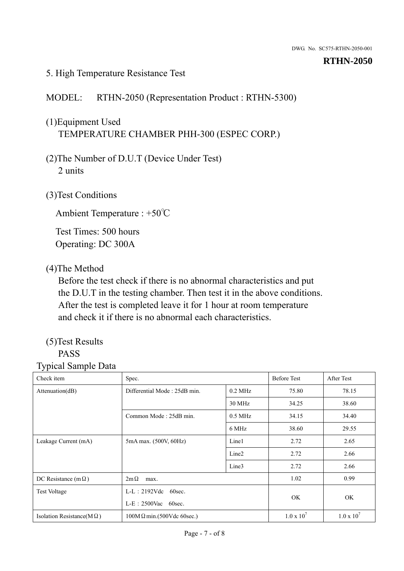#### 5. High Temperature Resistance Test

#### MODEL: RTHN-2050 (Representation Product : RTHN-5300)

# (1)Equipment Used TEMPERATURE CHAMBER PHH-300 (ESPEC CORP.)

- (2)The Number of D.U.T (Device Under Test) 2 units
- (3)Test Conditions

Ambient Temperature : +50℃

Test Times: 500 hours Operating: DC 300A

#### (4)The Method

Before the test check if there is no abnormal characteristics and put the D.U.T in the testing chamber. Then test it in the above conditions. After the test is completed leave it for 1 hour at room temperature and check it if there is no abnormal each characteristics.

#### (5)Test Results PASS

| Check item                        | Spec.                            |                        | <b>Before Test</b> | After Test        |
|-----------------------------------|----------------------------------|------------------------|--------------------|-------------------|
| Attenuation(dB)                   | Differential Mode: 25dB min.     | $0.2$ MHz              | 75.80              | 78.15             |
|                                   |                                  | 30 MHz                 | 34.25              | 38.60             |
|                                   | Common Mode: 25dB min.           | $0.5$ MHz              | 34.15              | 34.40             |
|                                   |                                  | 6 MHz                  | 38.60              | 29.55             |
| Leakage Current (mA)              | 5mA max. (500V, 60Hz)            | Line1                  | 2.72               | 2.65              |
|                                   |                                  | Line <sub>2</sub>      | 2.72               | 2.66              |
|                                   |                                  | Line3                  | 2.72               | 2.66              |
| DC Resistance (m $\Omega$ )       | $2m\Omega$<br>max.               |                        |                    | 0.99              |
| <b>Test Voltage</b>               | $L-L$ : 2192Vdc 60sec.           | $L-E$ : 2500Vac 60sec. |                    |                   |
|                                   |                                  |                        |                    | <b>OK</b>         |
| Isolation Resistance( $M\Omega$ ) | $100M\Omega$ min.(500Vdc 60sec.) |                        | $1.0 \times 10^7$  | $1.0 \times 10^7$ |